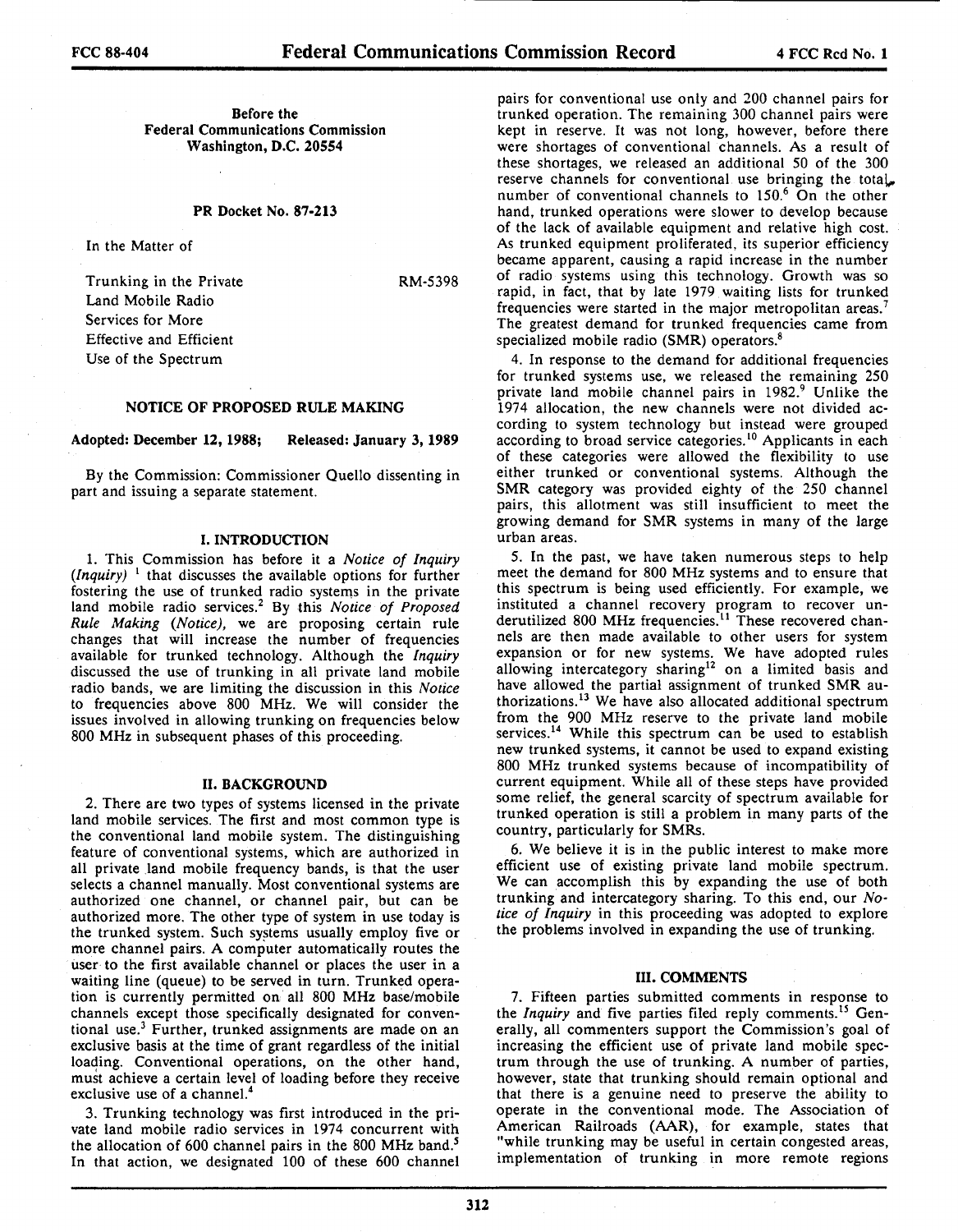RM-5398

Before the Federal Communications Commission Washington, D.C. 20554

#### PR Docket No. 87-213

In the Matter of

Trunking in the Private Land Mobile Radio Services for More Effective and Efficient Use of the Spectrum

# NOTICE OF PROPOSED RULE MAKING

## Adopted: December 12, 1988; Released: January 3, 1989

By the Commission: Commissioner Quello dissenting in part and issuing a separate statement.

#### I. INTRODUCTION

1. This Commission has before it a *Notice of Inquiry*   $($ *Inquiry* $)$ <sup>1</sup> that discusses the available options for further fostering the use of trunked radio systems in the private land mobile radio services.2 By this *Notice of Proposed Rule Making (Notice),* we are proposing certain rule changes that will increase the number of frequencies available for trunked technology. Although the *Inquiry*  discussed the use of trunking in all private land mobile radio bands, we are limiting the discussion in this *Notice*  to frequencies above 800 MHz. We will consider the issues involved in allowing trunking on frequencies below 800 MHz in subsequent phases of this proceeding.

#### II. BACKGROUND

2. There are two types of systems licensed in the private land mobile services. The first and most common type is the conventional land mobile system. The distinguishing feature of conventional systems, which are authorized in all private land mobile frequency bands, is that the user selects a channel manually. Most conventional systems are authorized one channel, or channel pair, but can be authorized more. The other type of system in use today is the trunked system. Such systems usually employ five or more channel pairs. A computer automatically routes the user to the first available channel or places the user in a waiting line (queue) to be served in turn. Trunked operation is currently permitted on all 800 MHz base/mobile channels except those specifically designated for conventional use.3 Further, trunked assignments are made on an exclusive basis at the time of grant regardless of the initial loading. Conventional operations, on the other hand, must achieve a certain level of loading before they receive exclusive use of a channel.<sup>4</sup>

3. Trunking technology was first introduced in the private land mobile radio services in 1974 concurrent with the allocation of 600 channel pairs in the 800 MHz band.<sup>5</sup> In that action, we designated 100 of these 600 channel

pairs for conventional use only and 200 channel pairs for trunked operation. The remaining 300 channel pairs were kept in reserve. It was not long, however, before there were shortages of conventional channels. As a result of these shortages, we released an additional 50 of the 300 reserve channels for conventional use bringing the total. number of conventional channels to  $150<sup>6</sup>$  On the other hand, trunked operations were slower to develop because of the lack of available equipment and relative high cost. As trunked equipment proliferated, its superior efficiency became apparent, causing a rapid increase in the number of radio systems using this technology. Growth was so rapid, in fact, that by late 1979 waiting lists for trunked frequencies were started in the major metropolitan areas.<sup>7</sup> The greatest demand for trunked frequencies came from specialized mobile radio (SMR) operators.<sup>8</sup>

4. In response to the demand for additional frequencies for trunked systems use, we released the remaining 250 private land mobile channel pairs in 1982.<sup>9</sup> Unlike the 1974 allocation, the new channels were not divided according to system technology but instead were grouped according to broad service categories.<sup>10</sup> Applicants in each of these categories were allowed the flexibility to use either trunked or conventional systems. Although the SMR category was provided eighty of the 250 channel pairs, this allotment was still insufficient to meet the growing demand for SMR systems in many of the large urban areas.

5. In the past, we have taken numerous steps to help meet the demand for 800 MHz systems and to ensure that this spectrum is being used efficiently. For example, we instituted a channel recovery program to recover underutilized 800 MHz frequencies.<sup>11</sup> These recovered channels are then made available to other users for system expansion or for new systems. We have adopted rules allowing intercategory sharing<sup>12</sup> on a limited basis and have allowed the partial assignment of trunked SMR authorizations.13 We have also allocated additional spectrum from the 900 MHz reserve to the private land mobile services.<sup>14</sup> While this spectrum can be used to establish new trunked systems, it cannot be used to expand existing 800 MHz trunked systems because of incompatibility of current equipment. While all of these steps have provided some relief, the general scarcity of spectrum available for trunked operation is still a problem in many parts of the country, particularly for SMRs.

6. We believe it is in the public interest to make more efficient use of existing private land mobile spectrum. We can accomplish this by expanding the use of both trunking and intercategory sharing. To this end, our *Nolice of Inquiry* in this proceeding was adopted to explore the problems involved in expanding the use of trunking.

#### III. COMMENTS

7. Fifteen parties submitted comments in response to the *Inquiry* and five parties filed reply comments.15 Generally, all commenters support the Commission's goal of increasing the efficient use of private land mobile spectrum through the use of trunking. A number of parties, however, state that trunking should remain optional and that there is a genuine need to preserve the ability to operate in the conventional mode. The Association of American Railroads (AAR), for example, states that "while trunking may be useful in certain congested areas, implementation of trunking in more remote regions

312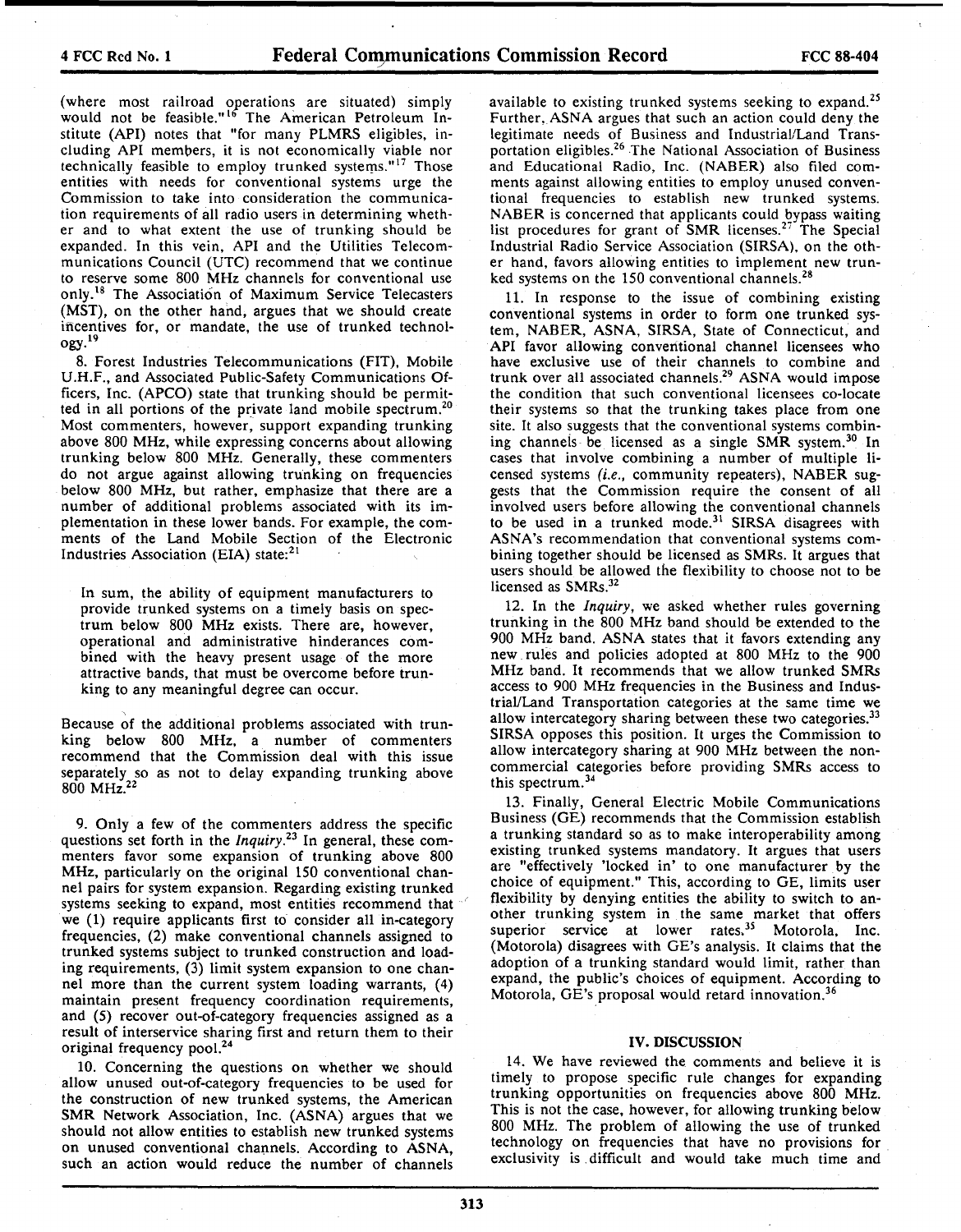(where most railroad operations are situated) simply would not be feasible."<sup>16</sup> The American Petroleum Institute (API) notes that "for many PLMRS eligibles, including API members, it is not economically viable nor technically feasible to employ trunked systems."<sup>17</sup> Those entities with needs for conventional systems urge the Commission to take into consideration the communication requirements of all radio users in determining whether and to what extent the use of trunking should be expanded. In this vein, API and the Utilities Telecommunications Council (UTC) recommend that we continue to reserve some 800 MHz channels for conventional use only.<sup>18</sup> The Association of Maximum Service Telecasters (MST), on the other hand, argues that we should create ificentives for, or mandate, the use of trunked technol- $Ogy.<sup>19</sup>$ 

8. Forest Industries Telecommunications (FIT), Mobile U.H.F., and Associated Public-Safety Communications Officers, Inc. (APCO) state that trunking should be permitted in all portions of the private land mobile spectrum.20 Most commenters, however, support expanding trunking above 800 MHz, while expressing concerns about allowing trunking below 800 MHz. Generally, these commenters do not argue against allowing trunking on frequencies below 800 MHz, but rather, emphasize that there are a number of additional problems associated with its implementation in these lower bands. For example, the comments of the Land Mobile Section of the Electronic Industries Association (EIA) state: $21$ 

In sum, the ability of equipment manufacturers to provide trunked systems on a timely basis on spectrum below 800 MHz exists. There are, however, operational and administrative hinderances combined with the heavy present usage of the more attractive bands, that must be overcome before trunking to any meaningful degree can occur.

Because of the additional problems associated with trunking below 800 MHz, a number of commenters recommend that the Commission deal with this issue separately so as not to delay expanding trunking above 800 MHz.22

9. Only a few of the commenters address the specific questions set forth in the *lnquiry.23* In general, these commenters favor some expansion of trunking above 800 MHz, particularly on the original 150 conventional channel pairs for system expansion. Regarding existing trunked systems seeking to expand, most entities recommend that we (1) require applicants first to consider all in-category frequencies, (2) make conventional channels assigned to trunked systems subject to trunked construction and loading requirements, (3) limit system expansion to one channel more than the current system loading warrants, (4) maintain present frequency coordination requirements, and (5) recover out-of-category frequencies assigned as a result of interservice sharing first and return them to their original frequency pool.<sup>24</sup>

10. Concerning the questions on whether we should allow unused out-of-category frequencies to be used for the construction of new trunked systems, the American SMR Network Association, Inc. (ASNA) argues that we should not allow entities to establish new trunked systems on unused conventional channels. According to ASNA, such an action would reduce the number of channels

available to existing trunked systems seeking to expand.<sup>25</sup> Further, ASNA argues that such an action could deny the legitimate needs of Business and Industrial/Land Transportation eligibles.26 The National Association of Business and Educational Radio, Inc. (NABER) also filed comments against allowing entities to employ unused conventional frequencies to establish new trunked systems. NABER is concerned that applicants could bypass waiting list procedures for grant of SMR licenses.<sup>27</sup> The Special Industrial Radio Service Association (SIRSA). on the other hand, favors allowing entities to implement new trunked systems on the 150 conventional channels.<sup>28</sup>

11. In response to the issue of combining existing conventional systems in order to form one trunked system, NABER, ASNA, SIRSA, State of Connecticut, and API favor allowing conventional channel licensees who have exclusive use of their channels to combine and trunk over all associated channels.29 ASNA would impose the condition that such conventional licensees co-locate their systems so that the trunking takes place from one site. It also suggests that the conventional systems combining channels be licensed as a single SMR system.<sup>30</sup> In cases that involve combining a number of multiple licensed systems (i.e., community repeaters), NABER suggests that the Commission require the consent of all involved users before allowing the conventional channels to be used in a trunked mode.<sup>31</sup> SIRSA disagrees with ASNA's recommendation that conventional systems combining together should be licensed as SMRs. It argues that users should be allowed the flexibility to choose not to be licensed as SMRs.<sup>32</sup>

12. In the *Inquiry,* we asked whether rules governing trunking in the 800 MHz band should be extended to the 900 MHz band. ASNA states that it favors extending any new rules and policies adopted at 800 MHz to the 900 MHz band. It recommends that we allow trunked SMRs access to 900 MHz frequencies in the Business and Industrial/Land Transportation categories at the same time we allow intercategory sharing between these two categories.<sup>33</sup> SIRSA opposes this position. It urges the Commission to allow intercategory sharing at 900 MHz between the noncommercial categories before providing SMRs access to this spectrum. 34

13. Finally, General Electric Mobile Communications Business (GE) recommends that the Commission establish a trunking standard so as to make interoperability among existing trunked systems mandatory. It argues that users are "effectively 'locked in' to one manufacturer by the choice of equipment." This, according to GE, limits user flexibility by denying entities the ability to switch to another trunking system in the same market that offers superior service at lower rates.<sup>35</sup> Motorola, Inc. (Motorola) disagrees with GE's analysis. It claims that the adoption of a trunking standard would limit, rather than expand, the public's choices of equipment. According to Motorola, GE's proposal would retard innovation.36

#### IV. DISCUSSION

14. We have reviewed the comments and believe it is timely to propose specific rule changes for expanding trunking opportunities on frequencies above 800 MHz. This is not the case, however, for allowing trunking below 800 MHz. The problem of allowing the use of trunked technology on frequencies that have no provisions for exclusivity is . difficult and would take much time and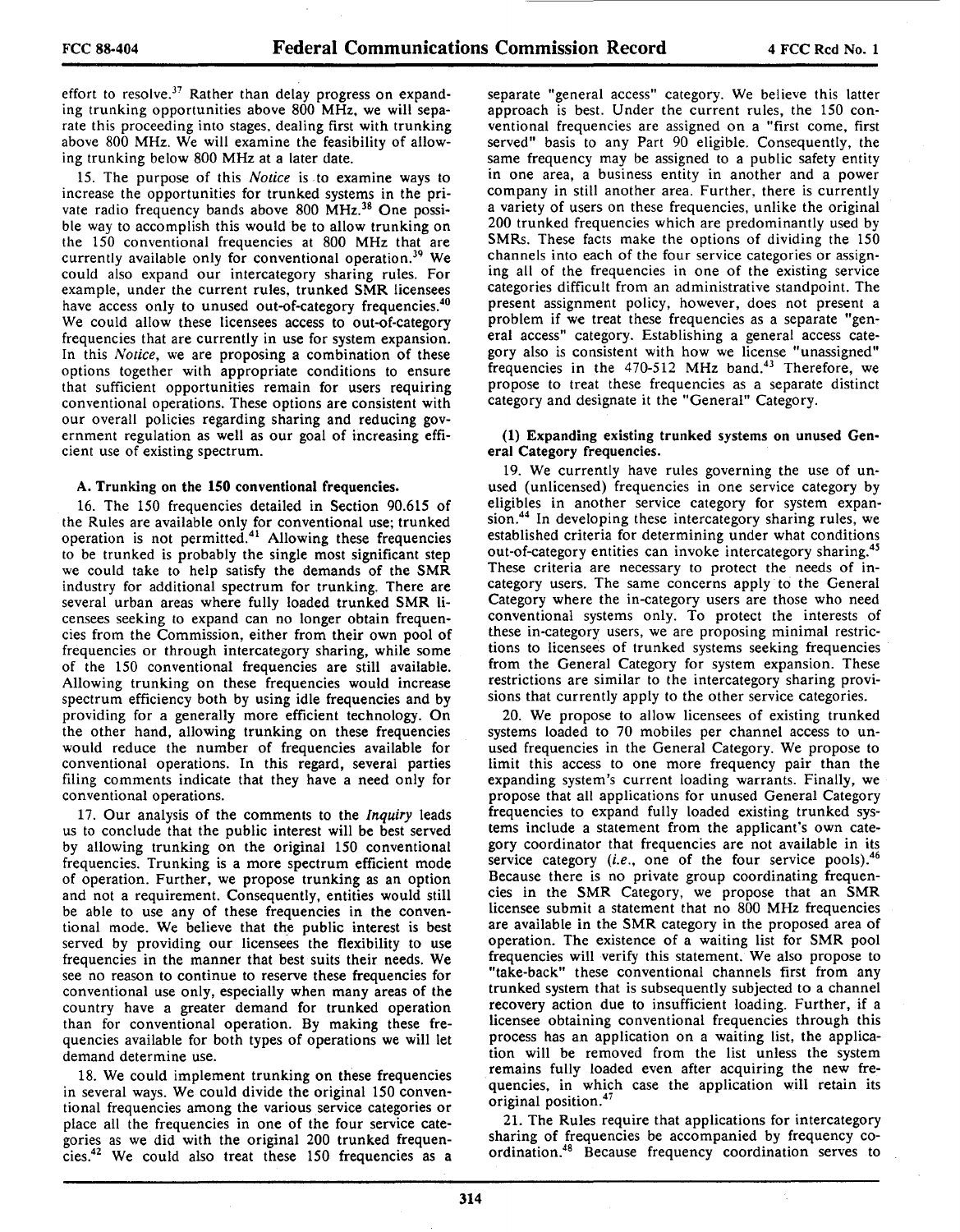effort to resolve.<sup>37</sup> Rather than delay progress on expanding trunking opportunities above 800 MHz. we will sepa· rate this proceeding into stages. dealing first with trunking above 800 MHz. We will examine the feasibility of allow· ing trunking below 800 MHz at a later date.

15. The purpose of this *Notice* is to examine ways *to*  increase the opportunities for trunked systems in the private radio frequency bands above 800 MHz.<sup>38</sup> One possible way to accomplish this would be to allow trunking on the 150 conventional frequencies at 800 MHz that are currently available only for conventional operation.<sup>39</sup> We could also expand our intercategory sharing rules. For example, under the current rules, trunked SMR licensees have access only to unused out-of-category frequencies.<sup>40</sup> We could allow these licensees access to out-of-category frequencies that are currently in use for system expansion. In this *Notice,* we are proposing a combination of these options together with appropriate conditions to ensure that sufficient opportunities remain for users requiring conventional operations. These options are consistent with our overall policies regarding sharing and reducing government regulation as well as our goal of increasing efficient use of existing spectrum.

#### A. Trunking on the **150** conventional frequencies.

16. The 150 frequencies detailed in Section 90.615 of the Rules are available only for conventional use; trunked operation is not permitted.41 Allowing these frequencies to be trunked is probably the single most significant step we could take to help satisfy the demands of the SMR industry for additional spectrum for trunking. There are several urban areas where fully loaded trunked SMR li· censees seeking *to* expand can no longer obtain frequen· cies from the Commission, either from their own pool of frequencies or through intercategory sharing, while some of the 150 conventional frequencies are still available. Allowing trunking on these frequencies would increase spectrum efficiency both by using idle frequencies and by providing for a generally more efficient technology. On the other hand, allowing trunking on these frequencies would reduce the number of frequencies available for conventional operations. In this regard, several parties filing comments indicate that they have a need only for conventional operations.

17. Our analysis of the comments to the *Inquiry* leads us *to* conclude that the public interest will be best served by allowing trunking on the original 150 conventional frequencies. Trunking is a more spectrum efficient mode of operation. Further, we propose trunking as an option and not a requirement. Consequently, entities would still be able to use any of these frequencies in the conventional mode. We believe that the public interest is best served by providing our licensees the flexibility to use frequencies in the manner that best suits their needs. We see no reason to continue to reserve these frequencies for conventional use only, especially when many areas of the country have a greater demand for trunked operation than for conventional operation. By making these fre· quencies available for both types of operations we will let demand determine use.

18. We could implement trunking on these frequencies in several ways. We could divide the original 150 conven· tional frequencies among the various service categories or place all the frequencies in one of the four service categories as we did with the original 200 trunked frequencies.42 We could also treat these 150 frequencies as a separate "general access" category. We believe this latter approach is best. Under the current rules, the 150 con· ventional frequencies are assigned on a "first come, first served" basis to any Part 90 eligible. Consequently, the same frequency may be assigned to a public safety entity in one area, a business entity in another and a power company in still another area. Further. there is currently a variety of users on these frequencies, unlike the original 200 trunked frequencies which are predominantly used by SMRs. These facts make the options of dividing the 150 channels into each of the four service categories or assign· ing all of the frequencies in one of the existing service categories difficult from an administrative standpoint. The present assignment policy, however, does not present a problem if we treat these frequencies as a separate "general access" category. Establishing a general access cate· gory also is consistent with how we license "unassigned" frequencies in the  $470-512$  MHz band.<sup>43</sup> Therefore, we propose to treat these frequencies as a separate distinct category and designate it the "General" Category.

#### **(1)** Expanding existing trunked systems on unused Gen· eral Category frequencies.

19. We currently have rules governing the use of unused (unlicensed) frequencies in one service category by eligibles in another service category for system expansion.44 In developing these intercategory sharing rules, we established criteria for determining under what conditions out-of-category entities can invoke intercategory sharing. These criteria are necessary to protect the needs of incategory users. The same concerns apply *to* the General Category where the in-category users are those who need conventional systems only. To protect the interests of these in-category users, we are proposing minimal restrictions to licensees of trunked systems seeking frequencies from the General Category for system expansion. These restrictions are similar *to* the intercategory sharing provisions that currently apply *to* the other service categories.

20. We propose to allow licensees of existing trunked systems loaded to 70 mobiles per channel access to un· used frequencies in the General Category. We propose to limit this access *to* one more frequency pair than the expanding system's current loading warrants. Finally, we propose that all applications for unused General Category frequencies to expand fully loaded existing trunked systems include a statement from the applicant's own category coordinator that frequencies are not available in its service category (*i.e.*, one of the four service pools).<sup>46</sup> Because there is no private group coordinating frequencies in the SMR Category, we propose that an SMR licensee submit a statement that no 800 MHz frequencies are available in the SMR category in the proposed area of operation. The existence of a waiting list for SMR pool frequencies will verify this statement. We also propose to "take-back" these conventional channels first from any trunked system that is subsequently subjected to a channel recovery action due to insufficient loading. Further, if a licensee obtaining conventional frequencies through this process has an application on a waiting list, the application will be removed from the list unless the system remains fully loaded even after acquiring the new frequencies, in which case the application will retain its original position.<sup>47</sup>

21. The Rules require that applications for intercategory sharing of frequencies be accompanied by frequency coordination.48 Because frequency coordination serves to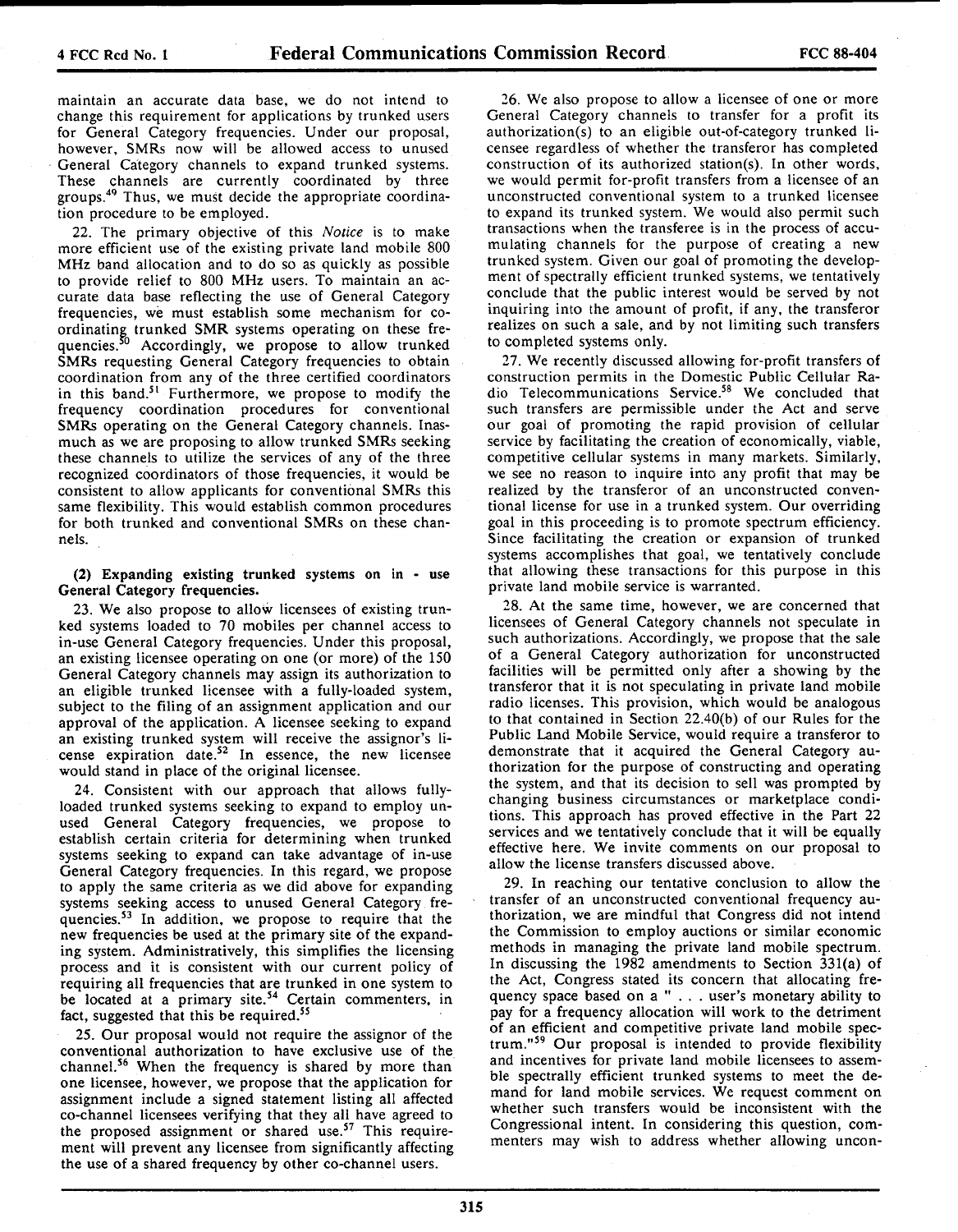maintain an accurate data base, we do not intend to change this requirement for applications by trunked users for General Category frequencies. Under our proposal, however, SMRs now will be allowed access to unused General Category channels to expand trunked systems. These channels are currently coordinated by three groups.49 Thus, we must decide the appropriate coordination procedure to be employed.

22. The primary objective of this Notice is to make more efficient use of the existing private land mobile 800 MHz band allocation and to do so as quickly as possible to provide relief to 800 MHz users. To maintain an accurate data base reflecting the use of General Category frequencies, we must establish some mechanism for coordinating trunked SMR systems operating on these frequencies.<sup>50</sup> Accordingly, we propose to allow trunked SMRs requesting General Category frequencies to obtain coordination from any of the three certified coordinators in this band.<sup>51</sup> Furthermore, we propose to modify the frequency coordination procedures for conventional SMRs operating on the General Category channels. Inasmuch as we are proposing to allow trunked SMRs seeking these channels to utilize the services of any of the three recognized coordinators of those frequencies, it would be consistent to allow applicants for conventional SMRs this same flexibility. This would establish common procedures for both trunked and conventional SMRs on these channels.

(2) Expanding existing trunked systems on in - use General Category frequencies.

23. We also propose to allow licensees of existing trunked systems loaded to 70 mobiles per channel access to in-use General Category frequencies. Under this proposal, an existing licensee operating on one (or more) of the 150 General Category channels may assign its authorization to an eligible trunked licensee with a fully-loaded system, subject to the filing of an assignment application and our approval of the application. A licensee seeking to expand an existing trunked system will receive the assignor's license expiration date.<sup>52</sup> In essence, the new licensee would stand in place of the original licensee.

24. Consistent with our approach that allows fullyloaded trunked systems seeking to expand to employ unused General Category frequencies, we propose to establish certain criteria for determining when trunked systems seeking to expand can take advantage of in-use General Category frequencies. In this regard, we propose to apply the same criteria as we did above for expanding systems seeking access to unused General Category frequencies.53 In addition, we propose to require that the new frequencies be used at the primary site of the expanding system. Administratively, this simplifies the licensing process and it is consistent with our current policy of requiring all frequencies that are trunked in one system to be located at a primary site.<sup>54</sup> Certain commenters, in fact, suggested that this be required.<sup>55</sup>

25. Our proposal would not require the assignor of the conventional authorization to have exclusive use of the channel.56 When the frequency is shared by more than one licensee, however, we propose that the application for assignment include a signed statement listing all affected co-channel licensees verifying that they all have agreed to the proposed assignment or shared use.<sup>57</sup> This requirement will prevent any licensee from significantly affecting the use of a shared frequency by other co-channel users.

26. We also propose to allow a licensee of one or more General Category channels to transfer for a profit its authorization(s) to an eligible out-of-category trunked licensee regardless of whether the transferor has completed construction of its authorized station(s). In other words, we would permit for-profit transfers from a licensee of an unconstructed conventional system to a trunked licensee to expand its trunked system. We would also permit such transactions when the transferee is in the process of accumulating channels for the purpose of creating a new trunked system. Given our goal of promoting the development of spectrally efficient trunked systems, we tentatively conclude that the public interest would be served by not inquiring into the amount of profit, if any, the transferor realizes on such a sale, and by not limiting such transfers to completed systems only.

27. We recently discussed allowing for-profit transfers of construction permits in the Domestic Public Cellular Radio Telecommunications Service.58 We concluded that such transfers are permissible under the Act and serve our goal of promoting the rapid provision of cellular service by facilitating the creation of economically, viable, competitive cellular systems in many markets. Similarly, we see no reason to inquire into any profit that may be realized by the transferor of an unconstructed conventional license for use in a trunked system. Our overriding goal in this proceeding is to promote spectrum efficiency. Since facilitating the creation or expansion of trunked systems accomplishes that goal, we tentatively conclude that allowing these transactions for this purpose in this private land mobile service is warranted.

28. At the same time, however, we are concerned that licensees of General Category channels not speculate in such authorizations. Accordingly, we propose that the sale of a General Category authorization for unconstructed facilities will be permitted only after a showing by the transferor that it is not speculating in private land mobile radio licenses. This provision, which would be analogous to that contained in Section 22.40(b) of our Rules for the Public Land Mobile Service, would require a transferor to demonstrate that it acquired the General Category authorization for the purpose of constructing and operating the system, and that its decision to sell was prompted by changing business circumstances or marketplace conditions. This approach has proved effective in the Part 22 services and we tentatively conclude that it will be equally effective here. We invite comments on our proposal to allow the license transfers discussed above.

29. In reaching our tentative conclusion to allow the transfer of an unconstructed conventional frequency authorization, we are mindful that Congress did not intend the Commission to employ auctions or similar economic methods in managing the private land mobile spectrum. In discussing the 1982 amendments to Section 331(a) of the Act, Congress stated its concern that allocating frequency space based on a " ... user's monetary ability to pay for a frequency allocation will work to the detriment of an efficient and competitive private land mobile spectrum."59 Our proposal is intended to provide flexibility and incentives for private land mobile licensees to assemble spectrally efficient trunked systems to meet the demand for land mobile services. We request comment on whether such transfers would be inconsistent with the Congressional intent. In considering this question, commenters may wish to address whether allowing uncon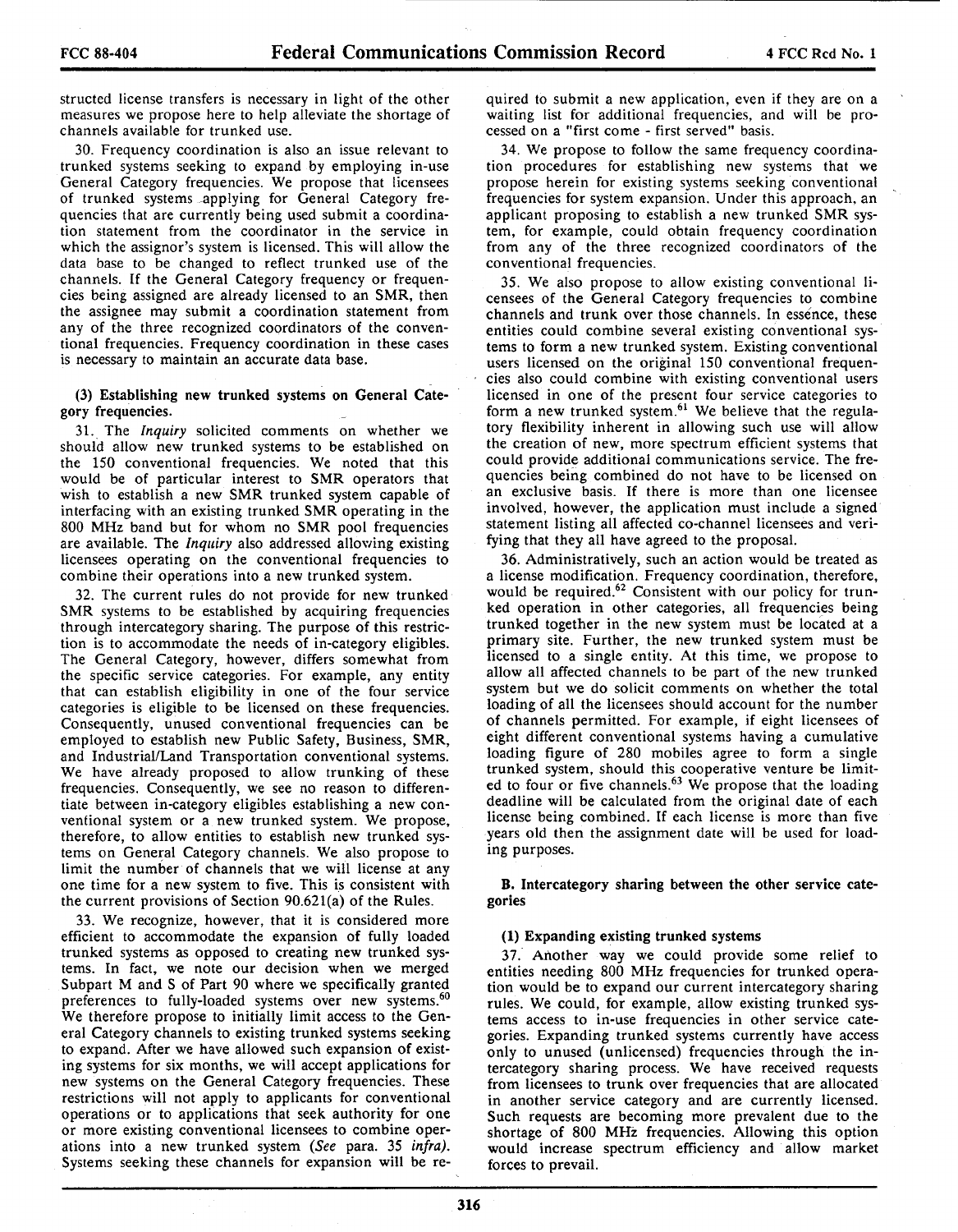structed license transfers is necessary in light of the other measures we propose here to help alleviate the shortage of channels available for trunked use.

30. Frequency coordination is also an issue relevant to trunked systems seeking to expand by employing in-use General Category frequencies. We propose that licensees of trunked systems applying for General Category frequencies that are currently being used submit a coordination statement from the coordinator in the service in which the assignor's system is licensed. This will allow the data base to be changed to reflect trunked use of the channels. If the General Category frequency or frequencies being assigned are already licensed to an SMR, then the assignee may submit a coordination statement from any of the three recognized coordinators of the conventional frequencies. Frequency coordination in these cases is necessary to maintain an accurate data base.

# (3) Establishing new trunked systems on General Category frequencies.

31. The *Inquiry* solicited comments on whether we should allow new trunked systems to be established on the 150 conventional frequencies. We noted that this would be of particular interest to SMR operators that wish to establish a new SMR trunked system capable of interfacing with an existing trunked SMR operating in the 800 MHz band but for whom no SMR pool frequencies are available. The *Inquiry* also addressed allowing existing licensees operating on the conventional frequencies to combine their operations into a new trunked system.

32. The current rules do not provide for new trunked SMR systems to be established by acquiring frequencies through intercategory sharing. The purpose of this restriction is to accommodate the needs of in-category eligibles. The General Category, however, differs somewhat from the specific service categories. For example, any entity that can establish eligibility in one of the four service categories is eligible to be licensed on these frequencies. Consequently, unused conventional frequencies can be employed to establish new Public Safety, Business, SMR, and Industrial/Land Transportation conventional systems. We have already proposed to allow trunking of these frequencies. Consequently, we see no reason to differentiate between in-category eligibles establishing a new conventional system or a new trunked system. We propose, therefore, to allow entities to establish new trunked systems on General Category channels. We also propose to limit the number of channels that we will license at any one time for a new system to five. This is consistent with the current provisions of Section 90.621(a) of the Rules.

33. We recognize, however, that it is considered more efficient to accommodate the expansion of fully loaded trunked systems as opposed to creating new trunked systems. In fact, we note our decision when we merged Subpart M and S of Part 90 where we specifically granted preferences to fully-loaded systems over new systems.<sup>60</sup> We therefore propose to initially limit access to the General Category channels to existing trunked systems seeking to expand. After we have allowed such expansion of existing systems for six months, we will accept applications for new systems on the General Category frequencies. These restrictions will not apply to applicants for conventional operations or to applications that seek authority for one or more existing conventional licensees to combine operations into a new trunked system *(See* para. 35 *infra).*  Systems seeking these channels for expansion will be required to submit a new application, even if they are on a waiting list for additional frequencies, and will be processed on a "first come - first served" basis.

34. We propose to follow the same frequency coordination procedures for establishing new systems that we propose herein for existing systems seeking conventional frequencies for system expansion. Under this approach, an applicant proposing to establish a new trunked SMR system, for example, could obtain frequency coordination from any of the three recognized coordinators of the conventional frequencies.

35. We also propose to allow existing conventional licensees of the General Category frequencies to combine channels and trunk over those channels. In essence, these entities could combine several existing conventional systems to form a new trunked system. Existing conventional users licensed on the original 150 conventional frequencies also could combine with existing conventional users licensed in one of the present four service categories to form a new trunked system.<sup>61</sup> We believe that the regulatory flexibility inherent in allowing such use will allow the creation of new, more spectrum efficient systems that could provide additional communications service. The frequencies being combined do not have to be licensed on an exclusive basis. If there is more than one licensee involved, however, the application must include a signed statement listing all affected co-channel licensees and verifying that they all have agreed to the proposal.

36. Administratively, such an action would be treated as a license modification. Frequency coordination, therefore, would be required.<sup>62</sup> Consistent with our policy for trunked operation in other categories, all frequencies being trunked together in the new system must be located at a primary site. Further, the new trunked system must be licensed to a single entity. At this time, we propose to allow all affected channels to be part of the new trunked system but we do solicit comments on whether the total loading of all the licensees should account for the number of channels permitted. For example, if eight licensees of eight different conventional systems having a cumulative loading figure of 280 mobiles agree to form a single trunked system, should this cooperative venture be limited to four or five channels.<sup>63</sup> We propose that the loading deadline will be calculated from the original date of each license being combined. If each license is more than five years old then the assignment date will be used for loading purposes.

**B.** Intercategory sharing between the other service categories

# **(1)** Expanding existing trunked systems

37. Another way we could provide some relief to entities needing 800 MHz frequencies for trunked operation would be to expand our current intercategory sharing rules. We could, for example, allow existing trunked systems access to in-use frequencies in other service categories. Expanding trunked systems currently have access only to unused (unlicensed) frequencies through the intercategory sharing process. We have received requests from licensees to trunk over frequencies that are allocated in another service category and are currently licensed. Such requests are becoming more prevalent due to the shortage of 800 MHz frequencies. Allowing this option would increase spectrum efficiency and allow market forces to prevail.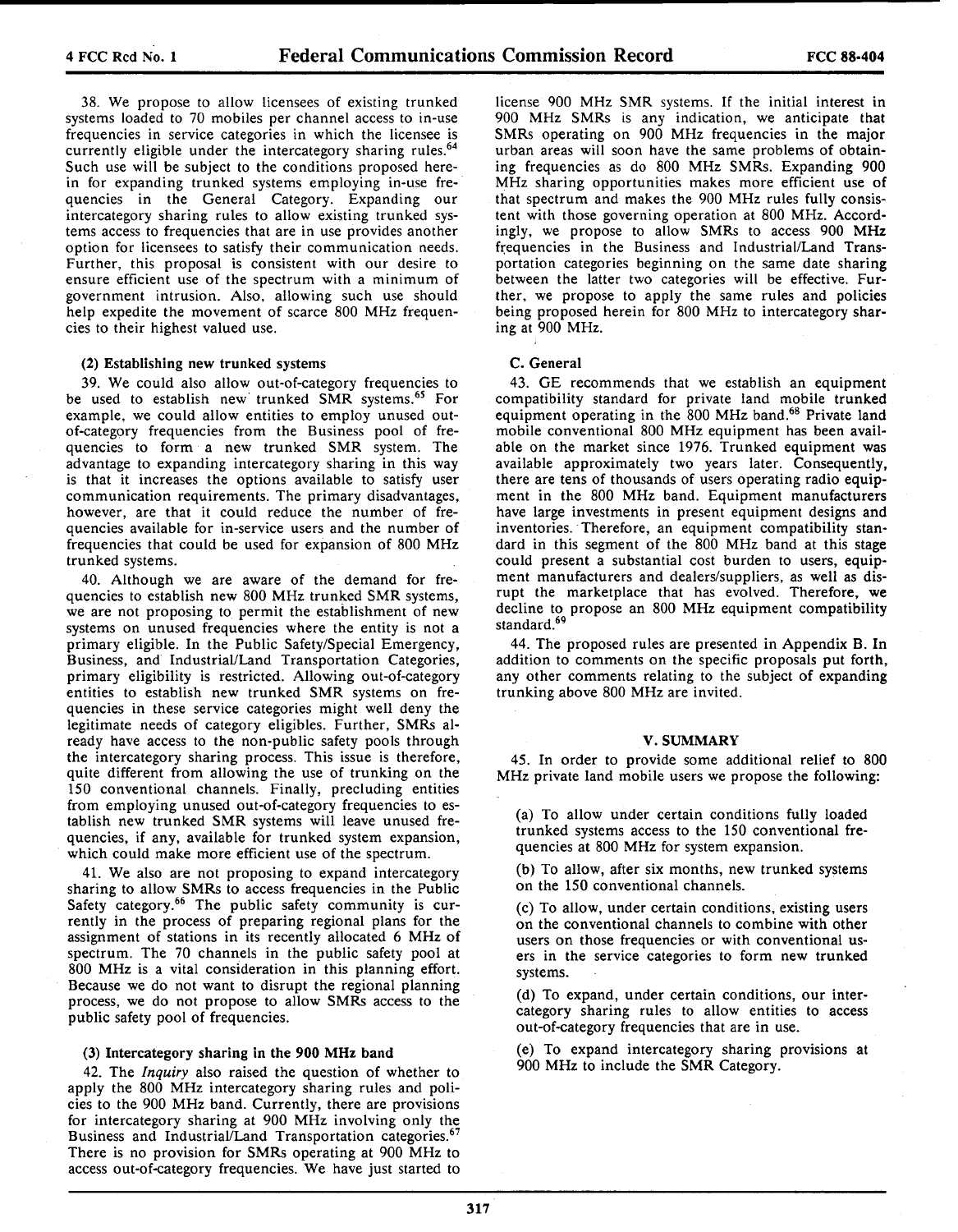38. We propose to allow licensees of existing trunked systems loaded to 70 mobiles per channel access to in-use frequencies in service categories in which the licensee is currently eligible under the intercategory sharing rules.<sup>64</sup> Such use will be subject to the conditions proposed herein for expanding trunked systems employing in-use frequencies in the General Category. Expanding our intercategory sharing rules to allow existing trunked systems access to frequencies that are in use provides another option for licensees to satisfy their communication needs. Further, this proposal is consistent with our desire to ensure efficient use of the spectrum with a minimum of government intrusion. Also, allowing such use should help expedite the movement of scarce 800 MHz frequencies to their highest valued use.

## (2) Establishing new trunked systems

39. We could also allow out-of-category frequencies to be used to establish new trunked SMR systems.<sup>65</sup> For example, we could allow entities to employ unused outof-category frequencies from the Business pool of frequencies to form a new trunked SMR system. The advantage to expanding intercategory sharing in this way is that it increases the options available to satisfy user communication requirements. The primary disadvantages, however, are that it could reduce the number of frequencies available for in-service users and the number of frequencies that could be used for expansion of 800 MHz trunked systems.

40. Although we are aware of the demand for frequencies to establish new 800 MHz trunked SMR systems, we are not proposing to permit the establishment of new systems on unused frequencies where the entity is not a primary eligible. In the Public Safety/Special Emergency, Business, and IndustriaULand Transportation Categories, primary eligibility is restricted. Allowing out-of-category entities to establish new trunked SMR systems on frequencies in these service categories might well deny the legitimate needs of category eligibles. Further, SMRs already have access to the non-public safety pools through the intercategory sharing process. This issue is therefore, quite different from allowing the use of trunking on the 150 conventional channels. Finally, precluding entities from employing unused out-of-category frequencies to establish new trunked SMR systems will leave unused frequencies, if any, available for trunked system expansion, which could make more efficient use of the spectrum.

41. We also are not proposing to expand intercategory sharing to allow SMRs to access frequencies in the Public Safety category.<sup>66</sup> The public safety community is currently in the process of preparing regional plans for the assignment of stations in its recently allocated 6 MHz of spectrum. The 70 channels in the public safety pool at 800 MHz is a vital consideration in this planning effort. Because we do not want to disrupt the regional planning process, we do not propose to allow SMRs access to the public safety pool of frequencies.

# (3) Intercategory sharing in the 900 MHz band

42. The *Inquiry* also raised the question of whether to apply the 800 MHz intercategory sharing rules and policies to the 900 MHz band. Currently, there are provisions for intercategory sharing at 900 MHz involving only the Business and Industrial/Land Transportation categories.<sup>67</sup> There is no provision for SMRs operating at 900 MHz to access out-of-category frequencies. We have just started to license 900 MHz SMR systems. If the initial interest in 900 MHz SMRs is any indication, we anticipate that SMRs operating on 900 MHz frequencies in the major urban areas will soon have the same problems of obtaining frequencies as do 800 MHz SMRs. Expanding 900 MHz sharing opportunities makes more efficient use of that spectrum and makes the 900 MHz rules fully consistent with those governing operation at 800 MHz. Accordingly, we propose to allow SMRs to access 900 MHz frequencies in the Business and Industrial/Land Transportation categories beginning on the same date sharing between the latter two categories will be effective. Further, we propose to apply the same rules and policies being proposed herein for 800 MHz to intercategory sharing at 900 MHz.

## C. General

43. GE recommends that we establish an equipment compatibility standard for private land mobile trunked equipment operating in the 800 MHz band.<sup>68</sup> Private land mobile conventional 800 MHz equipment has been available on the market since 1976. Trunked equipment was available approximately two years later. Consequently, there are tens of thousands of users operating radio equipment in the 800 MHz band. Equipment manufacturers have large investments in present equipment designs and inventories. Therefore, an equipment compatibility standard in this segment of the 800 MHz band at this stage could present a substantial cost burden to users, equip· ment manufacturers and dealers/suppliers, as well as disrupt the marketplace that has evolved. Therefore, we decline to propose an 800 MHz equipment compatibility standard.<sup>69</sup>

44. The proposed rules are presented in Appendix B. In addition to comments on the specific proposals put forth, any other comments relating to the subject of expanding trunking above 800 MHz are invited.

#### V. SUMMARY

45. In order to provide some additional relief to 800 MHz private land mobile users we propose the following:

(a) To allow under certain conditions fully loaded trunked systems access to the 150 conventional frequencies at 800 MHz for system expansion.

(b) To allow, after six months, new trunked systems on the 150 conventional channels.

(c) To allow, under certain conditions, existing users on the conventional channels to combine with other users on those frequencies or with conventional users in the service categories to form new trunked systems.

(d) To expand, under certain conditions, our intercategory sharing rules to allow entities to access out-of-category frequencies that are in use.

(e) To expand intercategory sharing provisions at 900 MHz to include the SMR Category.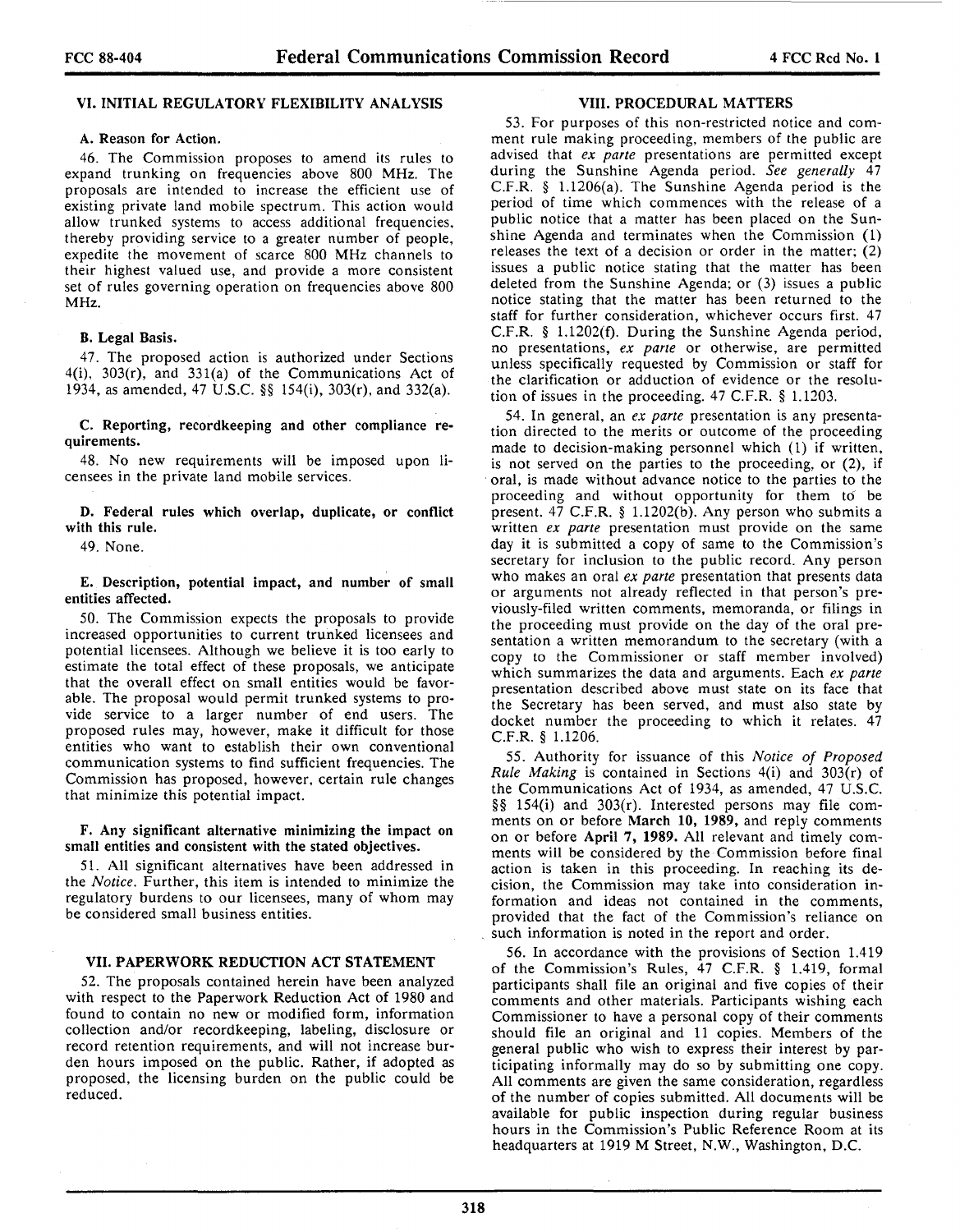# VI. INITIAL REGULATORY FLEXIBILITY ANALYSIS

# A. Reason for Action.

46. The Commission proposes to amend its rules to expand trunking on frequencies above 800 MHz. The proposals are intended to increase the efficient use of existing private land mobile spectrum. This action would allow trunked systems to access additional frequencies. thereby providing service to a greater number of people, expedite the movement of scarce 800 MHz channels to their highest valued use, and provide a more consistent set of rules governing operation on frequencies above 800 MHz.

## B. Legal Basis.

47. The proposed action is authorized under Sections  $4(i)$ ,  $303(r)$ , and  $331(a)$  of the Communications Act of 1934, as amended, 47 U.S.C. §§ 154(i), 303(r), and 332(a).

C. Reporting, recordkeeping and other compliance requirements.

48. No new requirements will be imposed upon licensees in the private land mobile services.

D. Federal rules which overlap, duplicate, or conflict with this rule.

49. None.

E. Description, potential impact, and number of small entities affected.

50. The Commission expects the proposals to provide increased opportunities to current trunked licensees and potential licensees. Although we believe it is too early to estimate the total effect of these proposals, we anticipate that the overall effect on small entities would be favorable. The proposal would permit trunked systems to provide service to a larger number of end users. The proposed rules may, however, make it difficult for those entities who want to establish their own conventional communication systems to find sufficient frequencies. The Commission has proposed, however, certain rule changes that minimize this potential impact.

F. Any significant alternative minimizing the impact on small entities and consistent with the stated objectives.

51. All significant alternatives have been addressed in the *Notice.* Further, this item is intended to minimize the regulatory burdens to our licensees, many of whom may be considered small business entities.

#### VII. PAPERWORK REDUCTION ACT STATEMENT

52. The proposals contained herein have been analyzed with respect to the Paperwork Reduction Act of 1980 and found to contain no new or modified form, information collection and/or recordkeeping, labeling, disclosure or record retention requirements, and will not increase burden hours imposed on the public. Rather, if adopted as proposed, the licensing burden on the public could be reduced.

### VIII. PROCEDURAL MATTERS

53. For purposes of this non-restricted notice and comment rule making proceeding, members of the public are advised that *ex parte* presentations are permitted except during the Sunshine Agenda period. *See generally* 47 C.F.R. § 1.1206(a). The Sunshine Agenda period is the period of time which commences with the release of a public notice that a matter has been placed on the Sunshine Agenda and terminates when the Commission (1) releases the text of a decision or order in the matter; (2) issues a public notice stating that the matter has been deleted from the Sunshine Agenda; or (3) issues a public notice stating that the matter has been returned to the staff for further consideration, whichever occurs first. 47 C.F.R. § 1.1202(f). During the Sunshine Agenda period, no presentations, *ex parte* or otherwise, are permitted unless specifically requested by Commission or staff for the clarification or adduction of evidence or the resolution of issues in the proceeding.  $47$  C.F.R. § 1.1203.

54. In general, an *ex parte* presentation is any presentation directed to the merits or outcome of the proceeding made to decision-making personnel which (1) if written, is not served on the parties to the proceeding, or (2), if oral, is made without advance notice to the parties to the proceeding and without opportunity for them to be present. 47 C.F.R. § 1.1202(b). Any person who submits a written *ex parte* presentation must provide on the same day it is submitted a copy of same to the Commission's secretary for inclusion to the public record. Any person who makes an oral *ex parte* presentation that presents data or arguments not already reflected in that person's previously-filed written comments, memoranda, or filings in the proceeding must provide on the day of the oral presentation a written memorandum to the secretary (with a copy to the Commissioner or staff member involved) which summarizes the data and arguments. Each *ex parte*  presentation described above must state on its face that the Secretary has been served, and must also state by docket number the proceeding to which it relates. 47 C.F.R. § 1.1206.

55. Authority for issuance of this *Notice of Proposed Rule Making* is contained in Sections 4(i) and 303(r) of the Communications Act of 1934, as amended, 47 U.S.C. §§ 154(i) and 303(r). Interested persons may file comments on or before March 10, 1989, and reply comments on or before April 7, 1989. All relevant and timely comments will be considered by the Commission before final action is taken in this proceeding. In reaching its decision, the Commission may take into consideration information and ideas not contained in the comments, provided that the fact of the Commission's reliance on such information is noted in the report and order.

56. In accordance with the provisions of Section 1.419 of the Commission's Rules, 47 C.F.R. § 1.419, formal participants shall file an original and five copies of their comments and other materials. Participants wishing each Commissioner to have a personal copy of their comments should file an original and 11 copies. Members of the general public who wish to express their interest by par· ticipating informally may do so by submitting one copy. All comments are given the same consideration, regardless of the number of copies submitted. All documents will be available for public inspection during regular business hours in the Commission's Public Reference Room at its headquarters at 1919 M Street, N.W., Washington, D.C.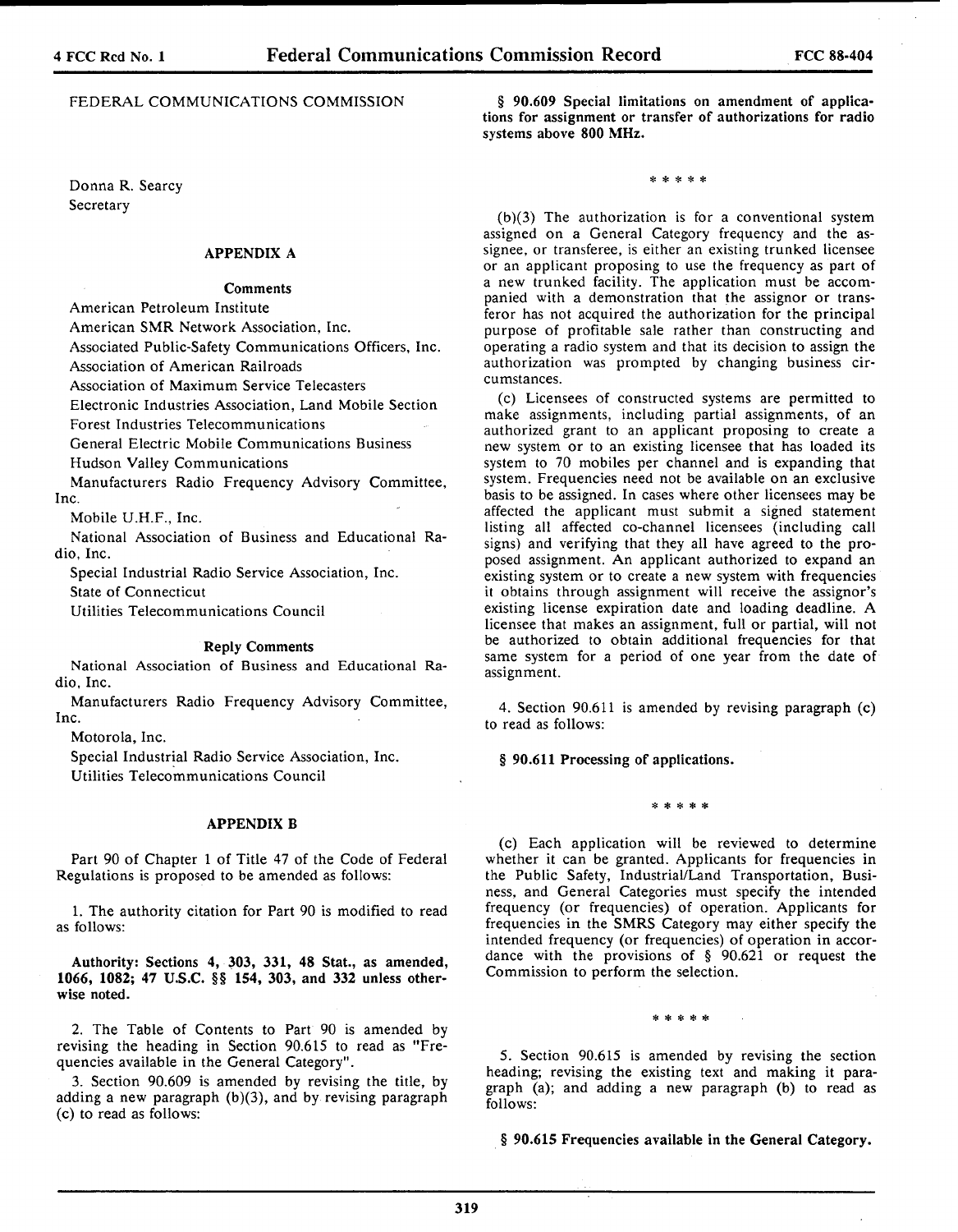# FEDERAL COMMUNICATIONS COMMISSION

Donna R. Searcy **Secretary** 

# APPENDIX A

# Comments

American Petroleum Institute

American SMR Network Association, Inc.

Associated Public-Safety Communications Officers, Inc.

Association of American Railroads

Association of Maximum Service Telecasters

Electronic Industries Association, Land Mobile Section

Forest Industries Telecommunications

General Electric Mobile Communications Business

Hudson Valley Communications

Manufacturers Radio Frequency Advisory Committee, Inc.

Mobile U.H.F., Inc.

National Association of Business and Educational Radio, Inc.

Special Industrial Radio Service Association, Inc.

State of Connecticut

Utilities Telecommunications Council

#### Reply Comments

National Association of Business and Educational Radio, Inc.

Manufacturers Radio Frequency Advisory Committee, Inc.

Motorola, Inc.

Special Industrial Radio Service Association, Inc. Utilities Telecommunications Council

# APPENDIX B

Part 90 of Chapter 1 of Title 47 of the Code of Federal Regulations is proposed to be amended as follows:

1. The authority citation for Part 90 is modified to read as follows:

Authority: Sections 4, 303, 331, 48 Stat., as amended, 1066, 1082; 47 U.S.C. §§ 154, 303, and 332 unless otherwise noted.

2. The Table of Contents to Part 90 is amended by revising the heading in Section 90.615 to read as "Frequencies available in the General Category".

3. Section 90.609 is amended by revising the title, by adding a new paragraph  $(b)(3)$ , and by revising paragraph (c) to read as follows:

§ 90.609 Special limitations on amendment of applications for assignment or transfer of authorizations for radio systems above 800 MHz.

\* \* \* \* \*

 $(b)(3)$  The authorization is for a conventional system assigned on a General Category frequency and the assignee, or transferee, is either an existing trunked licensee or an applicant proposing to use the frequency as part of a new trunked facility. The application must be accompanied with a demonstration that the assignor or transferor has not acquired the authorization for the principal purpose of profitable sale rather than constructing and operating a radio system and that its decision to assign the authorization was prompted by changing business circumstances.

(c) Licensees of constructed systems are permitted to make assignments, including partial assignments, of an authorized grant to an applicant proposing to create a new system or to an existing licensee that has loaded its system to 70 mobiles per channel and is expanding that system. Frequencies need not be available on an exclusive basis to be assigned. In cases where other licensees may be affected the applicant must submit a signed statement listing all affected co-channel licensees (including call signs) and verifying that they all have agreed to the proposed assignment. An applicant authorized to expand an existing system or to create a new system with frequencies it obtains through assignment will receive the assignor's existing license expiration date and loading deadline. A licensee that makes an assignment, full or partial, will not be authorized to obtain additional frequencies for that same system for a period of one year from the date of assignment.

4. Section 90.611 is amended by revising paragraph (c) to read as follows:

§ 90.611 Processing of applications.

# \* \* \* \* \*

(c) Each application will be reviewed to determine whether it can be granted. Applicants for frequencies in the Public Safety, Industrial/Land Transportation, Business, and General Categories must specify the intended frequency (or frequencies) of operation. Applicants for frequencies in the SMRS Category may either specify the intended frequency (or frequencies) of operation in accordance with the provisions of § 90.621 or request the Commission to perform the selection.

\* \* \* \* \*

*5.* Section 90.615 is amended by revising the section heading; revising the existing text and making it paragraph (a); and adding a new paragraph (b) to read as follows:

§ 90.615 Frequencies available in the General Category.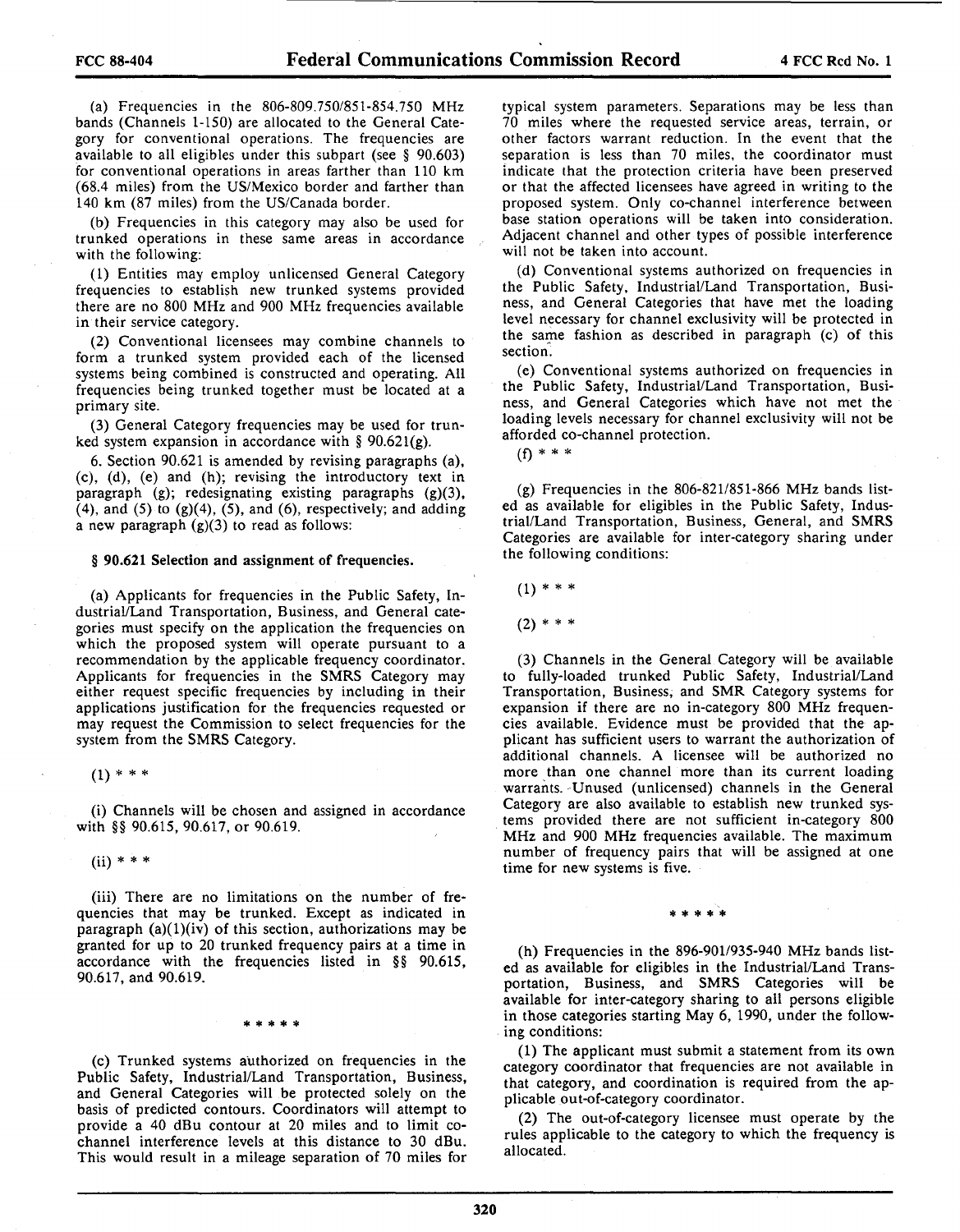(a) Frequencies in the 806-809.750/851-854.750 MHz bands (Channels 1-150) are allocated to the General Category for conventional operations. The frequencies are available to all eligibles under this subpart (see § 90.603) for conventional operations in areas farther than 110 km (68.4 miles) from the US/Mexico border and farther than 140 km (87 miles) from the US/Canada border.

(b) Frequencies in this category may also be used for trunked operations in these same areas in accordance with the following:

(1) Entities may employ unlicensed General Category frequencies to establish new trunked systems provided there are no 800 MHz and 900 MHz frequencies available in their service category.

(2) Conventional licensees may combine channels to form a trunked system provided each of the licensed systems being combined is constructed and operating. All frequencies being trunked together must be located at a primary site.

(3) General Category frequencies may be used for trunked system expansion in accordance with §  $90.621(g)$ .

6. Section 90.621 is amended by revising paragraphs (a), (c), (d), (e) and (h); revising the introductory text in paragraph (g); redesignating existing paragraphs (g)(3), (4), and (5) to  $(g)(4)$ , (5), and (6), respectively; and adding a new paragraph  $(g)(3)$  to read as follows:

# § 90.621 Selection and assignment of frequencies.

(a) Applicants for frequencies in the Public Safety, Industrial/Land Transportation, Business, and General categories must specify on the application the frequencies on which the proposed system will operate pursuant to a recommendation by the applicable frequency coordinator. Applicants for frequencies in the SMRS Category may either request specific frequencies by including in their applications justification for the frequencies requested or may request the Commission to select frequencies for the system from the SMRS Category.

 $(1) * * * *$ 

(i) Channels will be chosen and assigned in accordance with §§ 90.615, 90.617, or 90.619.

 $(ii) * * * *$ 

(iii) There are no limitations on the number of frequencies that may be trunked. Except as indicated in paragraph  $(a)(1)(iv)$  of this section, authorizations may be granted for up to 20 trunked frequency pairs at a time in accordance with the frequencies listed in §§ 90.615, 90.617, and 90.619.

\* \* \* \* \*

(c) Trunked systems authorized on frequencies in the Public Safety, Industrial/Land Transportation, Business, and General Categories will be protected solely on the basis of predicted contours. Coordinators will attempt to provide a 40 dBu contour at 20 miles and to limit cochannel interference levels at this distance to 30 dBu. This would result in a mileage separation of 70 miles for typical system parameters. Separations may be less than 70 miles where the requested service areas, terrain, or other factors warrant reduction. In the event that the separation is less than 70 miles, the coordinator must indicate that the protection criteria have been preserved or that the affected licensees have agreed in writing to the proposed system. Only co-channel interference between base station operations will be taken into consideration. Adjacent channel and other types of possible interference will not be taken into account.

(d) Conventional systems authorized on frequencies in the Public Safety, Industrial/Land Transportation, Business, and General Categories that have met the loading level necessary for channel exclusivity will be protected in the same fashion as described in paragraph (c) of this section.

(e) Conventional systems authorized on frequencies in the Public Safety, Industrial/Land Transportation, Business, and General Categories which have not met the loading levels necessary for channel exclusivity will not be afforded co-channel protection.

(f) \* \* \*

(g) Frequencies in the 806-821/851-866 MHz bands listed as available for eligibles in the Public Safety, Industrial/Land Transportation, Business, General, and SMRS Categories are available for inter-category sharing under the following conditions:

 $(1)$  \* \* \*

 $(2)$  \* \* \*

(3) Channels in the General Category will be available to fully-loaded trunked Public Safety, Industrial/Land Transportation, Business, and SMR Category systems for expansion if there are no in-category 800 MHz frequencies available. Evidence must be provided that the applicant has sufficient users to warrant the authorization of additional channels. A licensee will be authorized no more than one channel more than its current loading warrants. Unused (unlicensed) channels in the General Category are also available to establish new trunked systems provided there are not sufficient in-category 800 MHz and 900 MHz frequencies available. The maximum number of frequency pairs that will be assigned at one time for new systems is five.

\* \* \* \* \*

 $(h)$  Frequencies in the 896-901/935-940 MHz bands listed as available for eligibles in the Industrial/Land Transportation, Business, and SMRS Categories will be available for inter-category sharing to all persons eligible in those categories starting May 6, 1990, under the following conditions:

(1) The applicant must submit a statement from its own category coordinator that frequencies are not available in that category, and coordination is required from the applicable out-of-category coordinator.

(2) The out-of-category licensee must operate by the rules applicable to the category to which the frequency is allocated.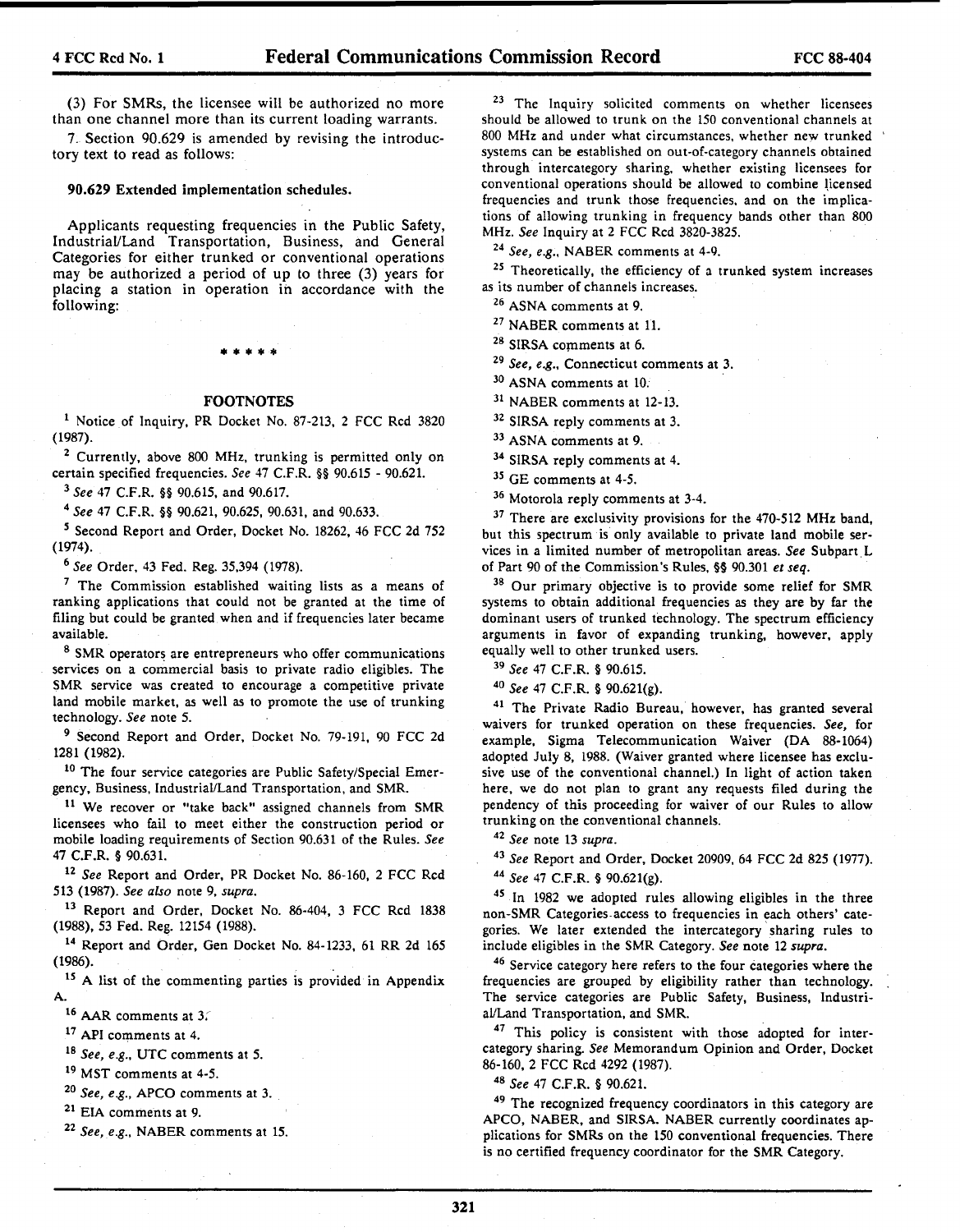(3) For SMRs, the licensee will be authorized no more than one channel more than its current loading warrants.

7. Section 90.629 is amended by revising the introductory text to read as follows:

# 90.629 Extended implementation schedules.

Applicants requesting frequencies in the Public Safety, Industrial/Land Transportation, Business, and General Categories for either trunked or conventional operations may be authorized a period of up to three (3) years for placing a station in operation in accordance with the following:

# \* • • • •

# FOOTNOTES

1 Notice of Inquiry, PR Docket No. 87-213, 2 FCC Red 3820 (1987).

<sup>2</sup> Currently, above 800 MHz, trunking is permitted only on certain specified frequencies. *See* 47 C.F.R. §§ 90.615 - 90.621.

<sup>3</sup>*See* 47 C.F.R. §§ 90.615, and 90.617. 4 *See* 47 C.F.R. §§ 90.621, 90.625, 90.631, and 90.633.

<sup>5</sup> Second Report and Order, Docket No. 18262, 46 FCC 2d 752 (1974).

<sup>6</sup>*See* Order, 43 Fed. Reg. 35,394 (1978). 7 The Commission established waiting lists as a means of ranking applications that could not be granted at the time of filing but could be granted when and if frequencies later became available.

8 SMR operators are entrepreneurs who offer communications services on a commercial basis to private radio eligibles. The SMR service was created to encourage a competitive private land mobile market, as well as to promote the use of trunking technology. *See* note *5.* 

<sup>9</sup> Second Report and Order, Docket No. 79-191, 90 FCC 2d 1281 (1982).

10 The four service categories are Public Safety/Special Emergency, Business, Industrial/Land Transportation, and SMR.

11 We recover or "take back" assigned channels from SMR licensees who fail to meet either the construction period or mobile loading requirements of Section 90.631 of the Rules. *See*  47 C.F.R. § 90.631.

*12 See* Report and Order, PR Docket No. 86-160, 2 FCC Red 513 (1987). *See also* note 9, *supra.* 

 $13$  Report and Order, Docket No. 86-404, 3 FCC Rcd 1838 (1988), 53 Fed. Reg. 12154 (1988).

<sup>14</sup> Report and Order, Gen Docket No. 84-1233, 61 RR 2d 165 (1986).

 $15$  A list of the commenting parties is provided in Appendix A.

16 AAR comments at 3:

17 API comments at 4.

<sup>18</sup>*See, e.g.,* UTC comments at 5.

19 MST comments at 4-5.

<sup>20</sup>*See, e.g.,* APCO comments at 3.

21 EIA comments at 9.

<sup>22</sup>*See, e.g.,* NABER comments at 15.

<sup>23</sup> The Inquiry solicited comments on whether licensees should be allowed to trunk on the 150 conventional channels at 800 MHz and under what circumstances, whether new trunked systems can be established on out-of-category channels obtained through intercategory sharing. whether existing licensees for conventional operations should be allowed to combine licensed frequencies and trunk those frequencies. and on the implications of allowing trunking in frequency bands other than 800 MHz. See Inquiry at 2 FCC Rcd 3820-3825.

<sup>24</sup> See, e.g., NABER comments at 4-9.<br><sup>25</sup> Theoretically, the efficiency of a trunked system increases as its number of channels increases.

26 ASNA comments at 9.

27 NABER comments at 11.

<sup>28</sup> SIRSA comments at 6.  $29$  *See, e.g.,* Connecticut comments at 3.

30 ASNA comments at 10.

31 NABER comments at 12-13.

<sup>32</sup> SIRSA reply comments at 3.

33 ASNA comments at 9.

34 SlRSA reply comments at 4.

35 GE comments at 4-5.

36 Motorola reply comments at 3-4.

 $37$  There are exclusivity provisions for the 470-512 MHz band. but this spectrum is only available to private land mobile services in a limited number of metropolitan areas. *See* Subpart L of Part 90 of the Commission's Rules, §§ 90.301 *et seq.* 

38 Our primary objective is to provide some relief for SMR systems to obtain additional frequencies as they are by far the dominant users of trunked technology. The spectrum efficiency arguments in favor of expanding trunking, however, apply equally well to other trunked users.

<sup>39</sup>*See* 47 C.F.R. § 90.615. 40 *See* 47 C.F.R. § 90.621(g). 41 The Private Radio Bureau, however, has granted several waivers for trunked operation on these frequencies. *See,* for example, Sigma Telecommunication Waiver (DA 88-1064) adopted July 8, 1988. (Waiver granted where licensee has exclusive use of the conventional channel.) In light of action taken here, we do not plan to grant any requests filed during the pendency of this proceeding for waiver of our Rules to allow trunking on the conventional channels. 42 *See* note 13 *supra.* 

<sup>43</sup>*See* Report and Order, Docket 20909, 64 FCC 2d 825 (1977). 44 *See* 47 C.F.R. § 90.621(g).

45 In 1982 we adopted rules allowing eligibles in the three non-SMR Categories.access to frequencies in each others' categories. We later extended the intercategory 'sharing rules to include eligibles in the SMR Category. *See* note 12 *supra.* 

46 Service category here refers to the four categories where the frequencies are grouped by eligibility rather than technology. The service categories are Public Safety, Business, Industri-al/Land Transportation, and SMR.

<sup>47</sup> This policy is consistent with those adopted for intercategory sharing. *See* Memorandum Opinion and Order, Docket 86-160, 2 FCC Red 4292 (1987).

48 See 47 C.F.R. § 90.621.<br><sup>49</sup> The recognized frequency coordinators in this category are APCO, NABER, and SIRSA. NABER currently coordinates applications for SMRs on the 150 conventional frequencies. There is no certified frequency coordinator for the SMR Category.